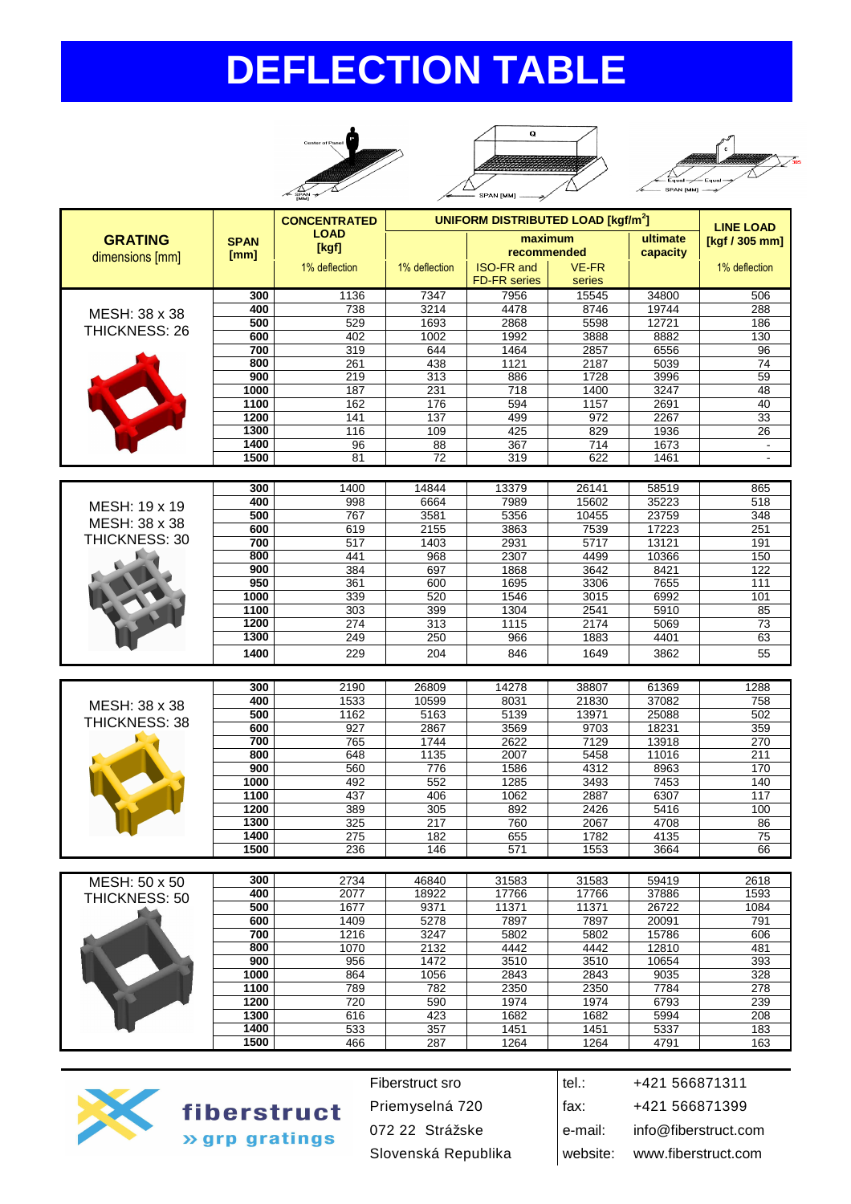# **DEFLECTION TABLE**







|                                   |                     | <b>CONCENTRATED</b>  |               | <b>UNIFORM DISTRIBUTED LOAD [kgf/m<sup>2</sup>]</b> |                 |                      |                                    |
|-----------------------------------|---------------------|----------------------|---------------|-----------------------------------------------------|-----------------|----------------------|------------------------------------|
| <b>GRATING</b><br>dimensions [mm] | <b>SPAN</b><br>[mm] | <b>LOAD</b><br>[kgf] |               | maximum<br>recommended                              |                 | ultimate<br>capacity | <b>LINE LOAD</b><br>[kgf / 305 mm] |
|                                   |                     | 1% deflection        | 1% deflection | <b>ISO-FR and</b><br><b>FD-FR</b> series            | VE-FR<br>series |                      | 1% deflection                      |
|                                   | 300                 | 1136                 | 7347          | 7956                                                | 15545           | 34800                | 506                                |
| MESH: 38 x 38                     | 400                 | 738                  | 3214          | 4478                                                | 8746            | 19744                | 288                                |
| THICKNESS: 26                     | 500                 | 529                  | 1693          | 2868                                                | 5598            | 12721                | 186                                |
|                                   | 600                 | 402                  | 1002          | 1992                                                | 3888            | 8882                 | 130                                |
|                                   | 700                 | 319                  | 644           | 1464                                                | 2857            | 6556                 | 96                                 |
|                                   | 800                 | 261                  | 438           | 1121                                                | 2187            | 5039                 | 74                                 |
|                                   | 900                 | 219                  | 313           | 886                                                 | 1728            | 3996                 | 59                                 |
|                                   | 1000                | 187                  | 231           | 718                                                 | 1400            | 3247                 | 48                                 |
|                                   | 1100                | 162                  | 176           | 594                                                 | 1157            | 2691                 | 40                                 |
|                                   | 1200                | 141                  | 137           | 499                                                 | 972             | 2267                 | 33                                 |
|                                   | 1300                | 116                  | 109           | 425                                                 | 829             | 1936                 | 26                                 |
|                                   | 1400                | 96                   | 88            | 367                                                 | 714             | 1673                 | $\blacksquare$                     |
|                                   | 1500                | 81                   | 72            | 319                                                 | 622             | 1461                 | $\overline{\phantom{a}}$           |
|                                   |                     |                      |               |                                                     |                 |                      |                                    |
|                                   | 300                 | 1400                 | 14844         | 13379                                               | 26141           | 58519                | 865                                |

|      |     |             |       |       |          | ဝပဎ    |
|------|-----|-------------|-------|-------|----------|--------|
| 400  | 998 | 6664        | 7989  | 15602 | 35223    | 518    |
| 500  | 767 | 3581        | 5356  | 10455 | 23759    | 348    |
| 600  | 619 | 2155        | 3863  | 7539  | 17223    | 251    |
| 700  | 517 | 1403        | 2931  | 5717  | 13121    | 191    |
| 800  | 441 | 968         | 2307  | 4499  | 10366    | 150    |
| 900  | 384 | 697         | 1868  | 3642  | 8421     | 122    |
| 950  | 361 | 600         | 1695  | 3306  | 7655     | 111    |
| 1000 | 339 | 520         | 1546  | 3015  | 6992     | 101    |
| 1100 | 303 | 399         | 1304  | 2541  | 5910     | 85     |
| 1200 | 274 | 313         | 1115  | 2174  | 5069     | 73     |
| 1300 | 249 | 250         | 966   | 1883  | 4401     | 63     |
| 1400 | 229 | 204         | 846   | 1649  | 3862     | 55     |
|      |     | งบบ<br>1400 | 14044 |       | 20 I 4 I | ວ໐ວ ເອ |

|               | 300  | 2190 | 26809 | 14278 | 38807 | 61369 | 1288 |
|---------------|------|------|-------|-------|-------|-------|------|
| MESH: 38 x 38 | 400  | 1533 | 10599 | 8031  | 21830 | 37082 | 758  |
|               | 500  | 1162 | 5163  | 5139  | 13971 | 25088 | 502  |
| THICKNESS: 38 | 600  | 927  | 2867  | 3569  | 9703  | 18231 | 359  |
|               | 700  | 765  | 1744  | 2622  | 7129  | 13918 | 270  |
|               | 800  | 648  | 1135  | 2007  | 5458  | 11016 | 211  |
|               | 900  | 560  | 776   | 1586  | 4312  | 8963  | 170  |
|               | 1000 | 492  | 552   | 1285  | 3493  | 7453  | 140  |
|               | 1100 | 437  | 406   | 1062  | 2887  | 6307  | 117  |
|               | 1200 | 389  | 305   | 892   | 2426  | 5416  | 100  |
|               | 1300 | 325  | 217   | 760   | 2067  | 4708  | 86   |
|               | 1400 | 275  | 182   | 655   | 1782  | 4135  | 75   |
|               | 1500 | 236  | 146   | 57'   | 1553  | 3664  | 66   |

| MESH: 50 x 50 | 300  | 2734 | 46840 | 31583 | 31583 | 59419 | 2618 |
|---------------|------|------|-------|-------|-------|-------|------|
| THICKNESS: 50 | 400  | 2077 | 18922 | 17766 | 17766 | 37886 | 1593 |
|               | 500  | 1677 | 9371  | 11371 | 11371 | 26722 | 1084 |
|               | 600  | 1409 | 5278  | 7897  | 7897  | 20091 | 791  |
|               | 700  | 1216 | 3247  | 5802  | 5802  | 15786 | 606  |
|               | 800  | 1070 | 2132  | 4442  | 4442  | 12810 | 481  |
|               | 900  | 956  | 1472  | 3510  | 3510  | 10654 | 393  |
|               | 1000 | 864  | 1056  | 2843  | 2843  | 9035  | 328  |
|               | 1100 | 789  | 782   | 2350  | 2350  | 7784  | 278  |
|               | 1200 | 720  | 590   | 1974  | 1974  | 6793  | 239  |
|               | 1300 | 616  | 423   | 1682  | 1682  | 5994  | 208  |
|               | 1400 | 533  | 357   | 1451  | 1451  | 5337  | 183  |
|               | 1500 | 466  | 287   | 1264  | 1264  | 4791  | 163  |



fiberstruct » grp gratings

Fiberstruct sro $\vert$ tel.: +421 566871311 Priemyselná 720 **fax:** +421 566871399 072 22 Strážske e-mail: info@fiberstruct.com Slovenská Republika | website: www.fiberstruct.com